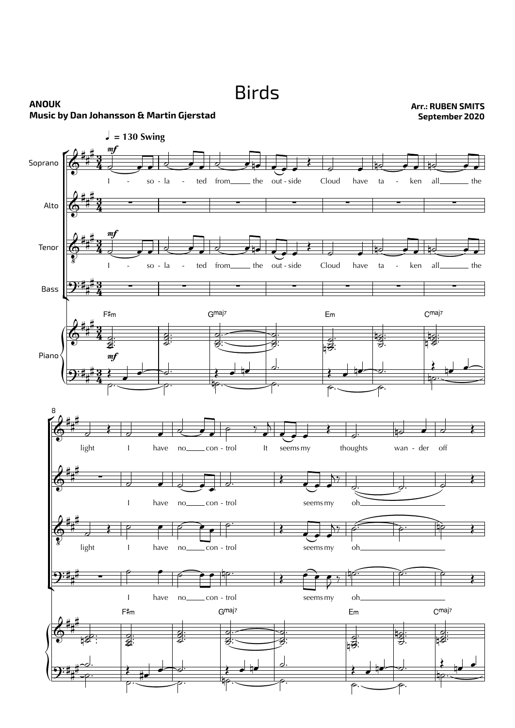## **Birds**

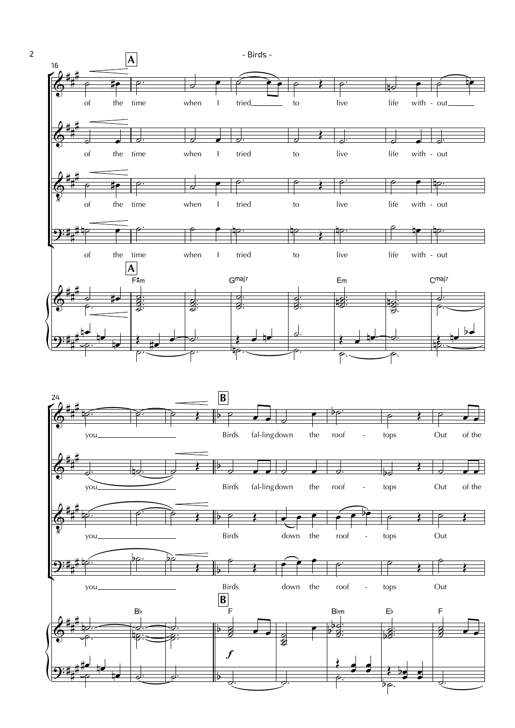



 $\overline{2}$